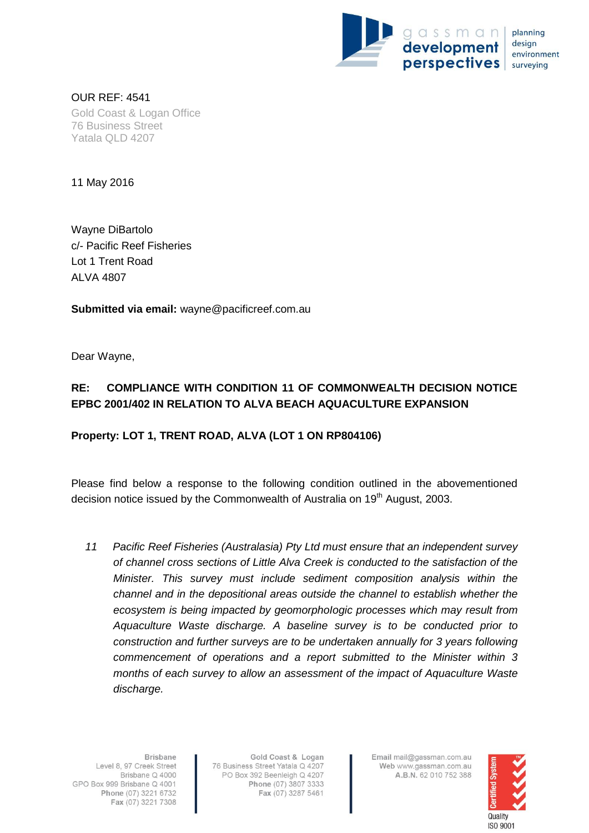

OUR REF: 4541 Gold Coast & Logan Office 76 Business Street Yatala QLD 4207

11 May 2016

Wayne DiBartolo c/- Pacific Reef Fisheries Lot 1 Trent Road ALVA 4807

**Submitted via email:** wayne@pacificreef.com.au

Dear Wayne,

## **RE: COMPLIANCE WITH CONDITION 11 OF COMMONWEALTH DECISION NOTICE EPBC 2001/402 IN RELATION TO ALVA BEACH AQUACULTURE EXPANSION**

## **Property: LOT 1, TRENT ROAD, ALVA (LOT 1 ON RP804106)**

Please find below a response to the following condition outlined in the abovementioned decision notice issued by the Commonwealth of Australia on 19<sup>th</sup> August, 2003.

*11 Pacific Reef Fisheries (Australasia) Pty Ltd must ensure that an independent survey of channel cross sections of Little Alva Creek is conducted to the satisfaction of the Minister. This survey must include sediment composition analysis within the channel and in the depositional areas outside the channel to establish whether the ecosystem is being impacted by geomorphoIogic processes which may result from Aquaculture Waste discharge. A baseline survey is to be conducted prior to construction and further surveys are to be undertaken annually for 3 years following commencement of operations and a report submitted to the Minister within 3 months of each survey to allow an assessment of the impact of Aquaculture Waste discharge.*

Gold Coast & Logan 76 Business Street Yatala Q 4207 PO Box 392 Beenleigh Q 4207 Phone (07) 3807 3333 Fax (07) 3287 5461

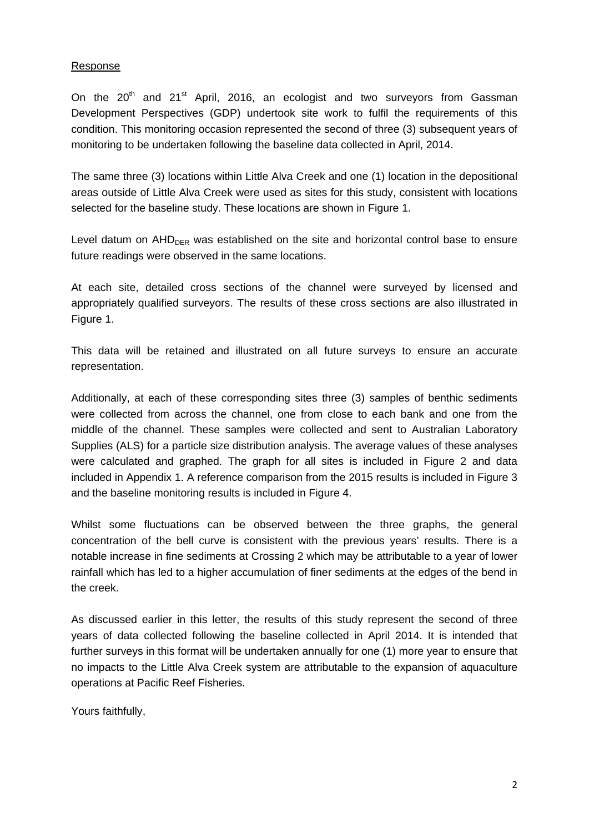## Response

On the  $20<sup>th</sup>$  and  $21<sup>st</sup>$  April, 2016, an ecologist and two surveyors from Gassman Development Perspectives (GDP) undertook site work to fulfil the requirements of this condition. This monitoring occasion represented the second of three (3) subsequent years of monitoring to be undertaken following the baseline data collected in April, 2014.

The same three (3) locations within Little Alva Creek and one (1) location in the depositional areas outside of Little Alva Creek were used as sites for this study, consistent with locations selected for the baseline study. These locations are shown in Figure 1.

Level datum on  $AHD<sub>DER</sub>$  was established on the site and horizontal control base to ensure future readings were observed in the same locations.

At each site, detailed cross sections of the channel were surveyed by licensed and appropriately qualified surveyors. The results of these cross sections are also illustrated in Figure 1.

This data will be retained and illustrated on all future surveys to ensure an accurate representation.

Additionally, at each of these corresponding sites three (3) samples of benthic sediments were collected from across the channel, one from close to each bank and one from the middle of the channel. These samples were collected and sent to Australian Laboratory Supplies (ALS) for a particle size distribution analysis. The average values of these analyses were calculated and graphed. The graph for all sites is included in Figure 2 and data included in Appendix 1. A reference comparison from the 2015 results is included in Figure 3 and the baseline monitoring results is included in Figure 4.

Whilst some fluctuations can be observed between the three graphs, the general concentration of the bell curve is consistent with the previous years' results. There is a notable increase in fine sediments at Crossing 2 which may be attributable to a year of lower rainfall which has led to a higher accumulation of finer sediments at the edges of the bend in the creek.

As discussed earlier in this letter, the results of this study represent the second of three years of data collected following the baseline collected in April 2014. It is intended that further surveys in this format will be undertaken annually for one (1) more year to ensure that no impacts to the Little Alva Creek system are attributable to the expansion of aquaculture operations at Pacific Reef Fisheries.

Yours faithfully,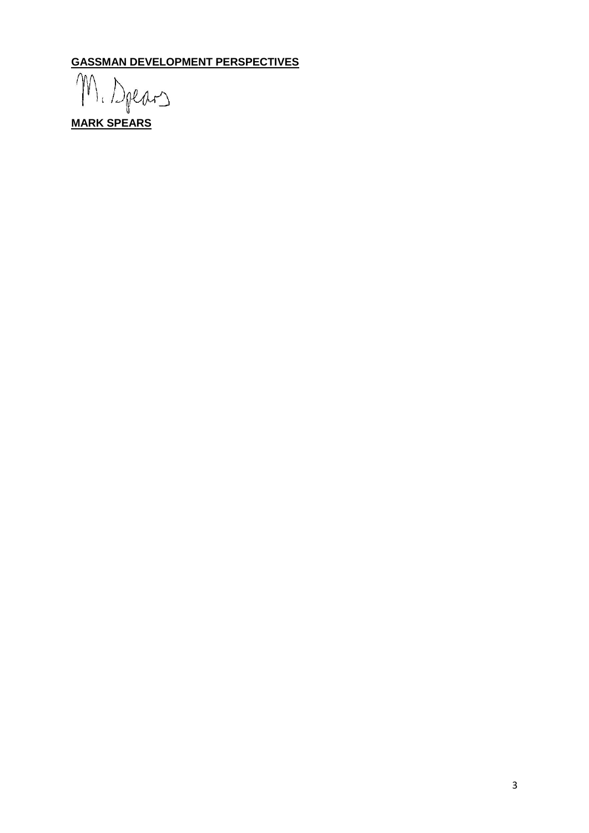**GASSMAN DEVELOPMENT PERSPECTIVES**

 $\gamma$ **M.** Dpears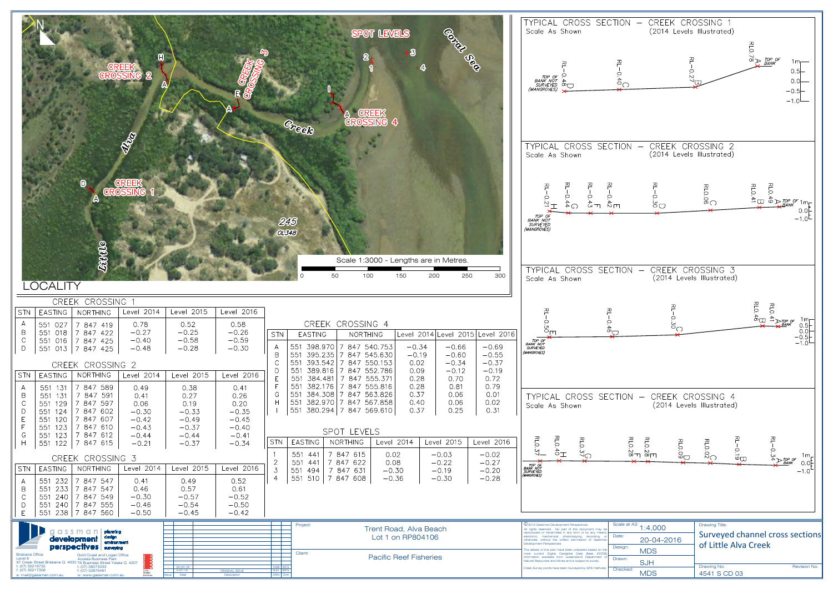

|                                                                                                                                                                                                                                                                                                                                                                                                                                                                                                                                                                                                                                                                                                                                                                                                       | Good Coco<br><b>SPOT LEVELS</b><br>$\bf{3}$<br>2<br>4<br><b>CREEK</b><br><b>CROSSING 4</b>                                                                                                                                                                                                                                                                                                                                                                                                                                                                                                                                                                                                                                                                                         | TYPICAL CROSS SECTION<br>CREEK CROSSING<br>$\frac{1}{2}$<br>Scale As Shown<br>(2014 Levels Illustrated)<br>RLO.78<br>TOP OF<br>BANK<br>$\circ$<br><i>: TOP OF</i><br>BANK NOT<br>SURVEYED<br>(MANGROVES)<br>$\frac{4}{10}$<br>O.C<br>$\circ$<br>$-0.5$<br>$-1.0$                                                                                                                                                                                                                                                                                                                                                                                |
|-------------------------------------------------------------------------------------------------------------------------------------------------------------------------------------------------------------------------------------------------------------------------------------------------------------------------------------------------------------------------------------------------------------------------------------------------------------------------------------------------------------------------------------------------------------------------------------------------------------------------------------------------------------------------------------------------------------------------------------------------------------------------------------------------------|------------------------------------------------------------------------------------------------------------------------------------------------------------------------------------------------------------------------------------------------------------------------------------------------------------------------------------------------------------------------------------------------------------------------------------------------------------------------------------------------------------------------------------------------------------------------------------------------------------------------------------------------------------------------------------------------------------------------------------------------------------------------------------|-------------------------------------------------------------------------------------------------------------------------------------------------------------------------------------------------------------------------------------------------------------------------------------------------------------------------------------------------------------------------------------------------------------------------------------------------------------------------------------------------------------------------------------------------------------------------------------------------------------------------------------------------|
| RIVER<br>$\mathbf{D}$<br><b>List Ne</b><br><b>_OCALITY</b>                                                                                                                                                                                                                                                                                                                                                                                                                                                                                                                                                                                                                                                                                                                                            | Creek<br>245<br>01348<br>Scale 1:3000 - Lengths are in Metres.<br>250<br>300<br>200                                                                                                                                                                                                                                                                                                                                                                                                                                                                                                                                                                                                                                                                                                | CROSS SECTION<br>CREEK CROSSING 2<br><b>TYPICAL</b><br>$\overline{\phantom{m}}$<br>(2014 Levels Illustrated)<br>Scale As Shown<br>RLO.O6<br>RLO.41<br>$\circ$<br>O<br>$J \overset{\cdot}{\circ} \sum_{\text{BANK}}^{TOP \; OF}$<br>$-\frac{4}{3}$<br>50 <sup>o</sup><br>$\bigcirc^4$<br>$\frac{4}{10}$<br>$\overline{2}$ –<br>$0.0$<br>-1.0<br>TOP OF<br>BANK NOT<br>(MANGROVES)<br>TYPICAL CROSS SECTION - CREEK CROSSING 3<br>Scale As Shown<br>(2014 Levels Illustrated)                                                                                                                                                                     |
| CREEK CROSSING 1                                                                                                                                                                                                                                                                                                                                                                                                                                                                                                                                                                                                                                                                                                                                                                                      |                                                                                                                                                                                                                                                                                                                                                                                                                                                                                                                                                                                                                                                                                                                                                                                    |                                                                                                                                                                                                                                                                                                                                                                                                                                                                                                                                                                                                                                                 |
| Level 2014<br>Level 2015<br><b>EASTING</b><br>NORTHING<br><b>STN</b><br>A<br>0.78<br>0.52<br>551 027<br>7 847 419<br>$-0.27$<br>$-0.25$<br>$\overline{B}$<br>551 018<br> 7847422<br>$\mathbb C$<br>$-0.58$<br>$-0.40$<br>551 016<br>7 847 425<br>$\mathsf{D}$<br>$-0.48$<br>$-0.28$<br>551 013 7 847 425<br>CREEK CROSSING 2                                                                                                                                                                                                                                                                                                                                                                                                                                                                          | Level 2016<br>CREEK CROSSING 4<br>0.58<br>$-0.26$<br><b>EASTING</b><br><b>NORTHING</b><br>Level 2014 Level 2015 Level 2016<br>  STN<br>$-0.59$<br>551 398.970 7 847 540.753<br>$-0.66$<br>$-0.69$<br>$-0.34$<br>$\mathsf{A}$<br>$-0.30$<br>$\mathsf B$<br>551 395.235 7 847 545.630<br>$-0.55$<br>$-0.19$<br>$-0.60$<br>551 393.542 7 847 550.153<br>$-0.37$<br>0.02<br>$-0.34$<br>551 389.816 7 847 552.786<br>0.09<br>$-0.12$<br>$-0.19$<br>D                                                                                                                                                                                                                                                                                                                                    | RLO.46<br><b>RLO</b><br>꼰<br>$\overrightarrow{A}$ $\rightarrow$ $\overrightarrow{D}$ TOP OF<br>$\circ$<br>$\begin{array}{c} 1 \text{m} \\ 0.5 \\ 0.0 \\ -0.5 \\ -1.0 \end{array}$<br>$\circ$<br>$\circ$<br>$\overline{5}$<br>ັບາ<br>ىسا <sub>ي</sub><br>ூ்<br>TOP OF<br><b>SURVEYED</b><br>(MANGROVES)                                                                                                                                                                                                                                                                                                                                          |
| NORTHING<br>Level 2014<br>STN<br>Level 2015<br><b>EASTING</b><br>7 847 589<br>551 131<br>0.49<br>0.38<br>$\forall$<br>$\overline{B}$<br>7 847 591<br>551<br>131<br>0.41<br>0.27<br>$\mathcal{C}$<br>7 847 597<br>551 129<br>0.06<br>0.19<br>$\Box$<br>7 847 602<br>551 124<br>$-0.30$<br>$-0.33$<br>E<br>$-0.42$<br>551 120<br>7 847 607<br>$-0.49$<br>F<br>551 123<br>7 847 610<br>$-0.43$<br>$-0.37$<br>G<br>551 123<br>7 847 612<br>$-0.44$<br>$-0.44$<br>7 847 615<br>H<br>551 122<br>$-0.21$<br>$-0.37$<br>CREEK CROSSING 3<br>NORTHING<br>Level 2014<br>Level 2015<br><b>STN</b><br><b>EASTING</b><br>7 847 547<br>551 232<br>0.41<br>0.49<br>A<br>551<br>$\overline{B}$<br>233<br>7847547<br>0.46<br>0.57<br>551<br>240 7 847 549<br>$-0.30$<br>$-0.57$<br>$\mathcal{C}$<br>$-0.46$<br>$-0.54$ | Level 2016<br>0.28<br>0.72<br>E<br>7 847 555.371<br>551 384.481<br>0.70<br>551 382.176 7 847 555.816<br>0.28<br>0.81<br>0.79<br>F<br>0.41<br>0.37<br>0.06<br>0.01<br>G<br>551 384.308 7 847 563.826<br>0.26<br>H<br>551 382.970 7 847 567.858<br>0.40<br>0.06<br>0.02<br>0.20<br>551 380.294 7 847 569.610<br>0.31<br>0.37<br>0.25<br>$-0.35$<br>$-0.45$<br>$-0.40$<br>SPOT LEVELS<br>$-0.41$<br>NORTHING<br>Level 2015<br>STN<br><b>EASTING</b><br>Level 2014<br>Level 2016<br>$-0.34$<br>551 441<br>7 847 615<br>$-0.03$<br>$-0.02$<br>0.02<br>0.08<br>$-0.22$<br>$-0.27$<br>551 441<br>7 847 622<br>Level 2016<br>3<br>551 494<br>7 847 631<br>$-0.30$<br>$-0.19$<br>$-0.20$<br>551 510 7 847 608<br>$-0.30$<br>$-0.28$<br>$\overline{4}$<br>$-0.36$<br>0.52<br>0.61<br>$-0.52$ | TYPICAL CROSS SECTION -<br>CREEK CROSSING 4<br>(2014 Levels Illustrated)<br>Scale As Shown<br>RLO.<br><b>RL0.3</b><br>RLO<br>$\frac{1}{2}$<br>RLO: 28<br>RLO: 28<br>RLO.09<br>RLO. OZ<br>$\vec{z}$<br>$rac{6}{6}$ U<br>$\frac{2}{2}$<br>$\sim$<br>$1m_{\pi}$<br>TOP OF<br>BANK NOT<br>SURVEYED<br>(MANGROVES)<br>$-1.0$ <sup>t</sup>                                                                                                                                                                                                                                                                                                            |
| $\mathsf{D}$<br>551 240 7 847 555<br>$\mathsf{E}$<br>551<br>238 7 847 560<br>$-0.50$<br>$-0.45$<br>$Ci Cj S S T C C D$ planning<br>design<br>environment<br>development<br>perspectives surveying<br>Gold Coast and Logan Office<br><b>Brisbane Office</b><br>ass<br>Level 8<br><b>Access Business Park</b>                                                                                                                                                                                                                                                                                                                                                                                                                                                                                           | $-0.50$<br>$-0.42$<br>Project:<br>Trent Road, Alva Beach<br>Lot 1 on RP804106<br>Client:<br><b>Pacific Reef Fisheries</b>                                                                                                                                                                                                                                                                                                                                                                                                                                                                                                                                                                                                                                                          | Scale at A3:<br><b>Drawing Title:</b><br>C 2012 Gassman Development Perspectives<br>1:4,000<br>All rights reserved. No part of this document may b<br>reproduced or transmitted in any form or by any means<br>Surveyed channel cross section<br>Date:<br>electronic, mechanical, photocopying, recording, or<br>20-04-2016<br>otherwise, without the written permission of Gassma<br>of Little Alva Creek<br>Development Perspectives.<br>Design:<br>he details of this plan have been prepared based on the<br><b>MDS</b><br>most current Digital Cadastral Data Base (DCDB)<br>information available from Queensland Department of<br>Drawn: |
| 97 Creek Street Brisbane Q. 4000 76 Business Street Yatala Q. 4207                                                                                                                                                                                                                                                                                                                                                                                                                                                                                                                                                                                                                                                                                                                                    |                                                                                                                                                                                                                                                                                                                                                                                                                                                                                                                                                                                                                                                                                                                                                                                    | Vatural Resources and Mines and is subject to survey.<br><b>SJH</b>                                                                                                                                                                                                                                                                                                                                                                                                                                                                                                                                                                             |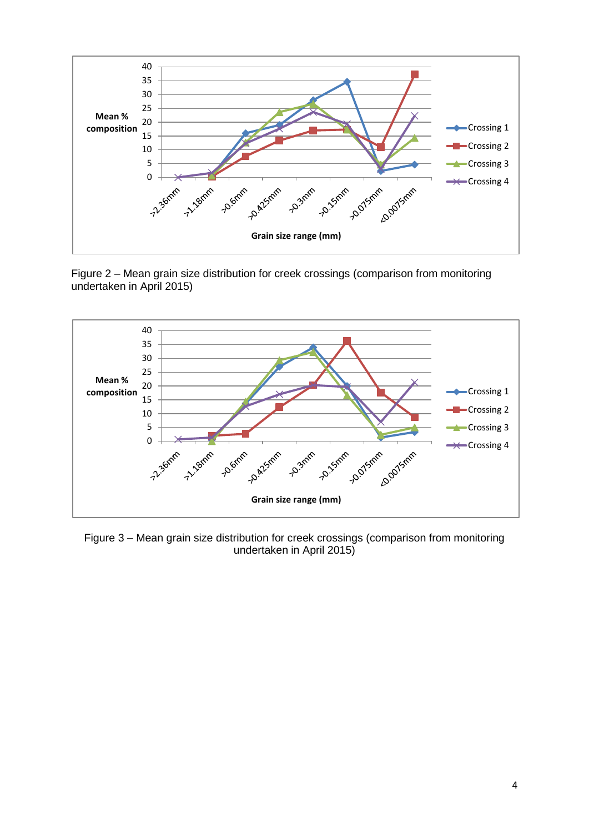





Figure 3 – Mean grain size distribution for creek crossings (comparison from monitoring undertaken in April 2015)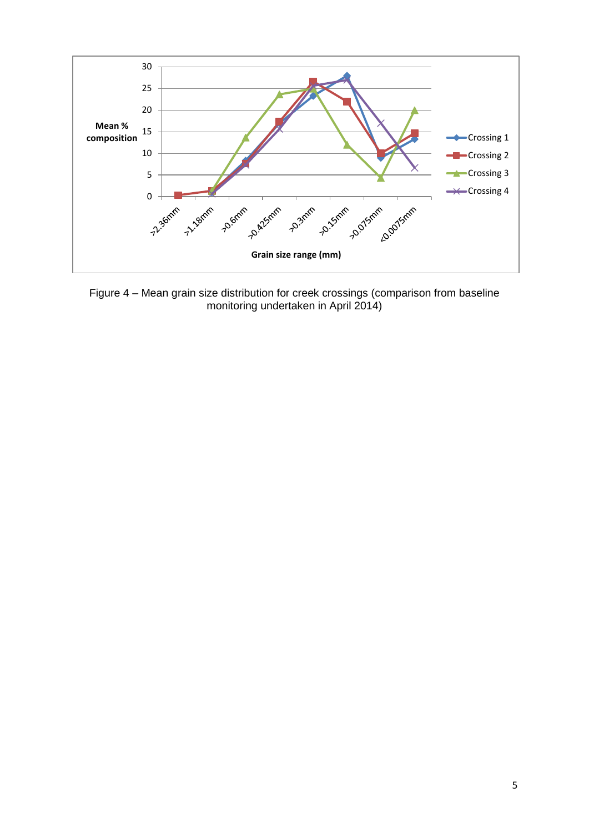

Figure 4 – Mean grain size distribution for creek crossings (comparison from baseline monitoring undertaken in April 2014)